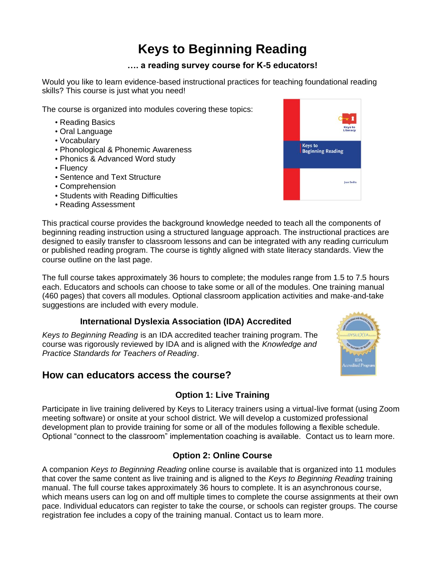# **Keys to Beginning Reading**

### **…. a reading survey course for K-5 educators!**

Would you like to learn evidence-based instructional practices for teaching foundational reading skills? This course is just what you need!

The course is organized into modules covering these topics:

- Reading Basics
- Oral Language
- Vocabulary
- Phonological & Phonemic Awareness
- Phonics & Advanced Word study
- Fluency
- Sentence and Text Structure
- Comprehension
- Students with Reading Difficulties
- Reading Assessment



This practical course provides the background knowledge needed to teach all the components of beginning reading instruction using a structured language approach. The instructional practices are designed to easily transfer to classroom lessons and can be integrated with any reading curriculum or published reading program. The course is tightly aligned with state literacy standards. View the course outline on the last page.

The full course takes approximately 36 hours to complete; the modules range from 1.5 to 7.5 hours each. Educators and schools can choose to take some or all of the modules. One training manual (460 pages) that covers all modules. Optional classroom application activities and make-and-take suggestions are included with every module.

## **International Dyslexia Association (IDA) Accredited**

*Keys to Beginning Reading* is an IDA accredited teacher training program. The course was rigorously reviewed by IDA and is aligned with the *Knowledge and Practice Standards for Teachers of Reading*.

# **How can educators access the course?**

# **Option 1: Live Training**

Participate in live training delivered by Keys to Literacy trainers using a virtual-live format (using Zoom meeting software) or onsite at your school district. We will develop a customized professional development plan to provide training for some or all of the modules following a flexible schedule. Optional "connect to the classroom" implementation coaching is available. Contact us to learn more.

## **Option 2: Online Course**

A companion *Keys to Beginning Reading* online course is available that is organized into 11 modules that cover the same content as live training and is aligned to the *Keys to Beginning Reading* training manual. The full course takes approximately 36 hours to complete. It is an asynchronous course, which means users can log on and off multiple times to complete the course assignments at their own pace. Individual educators can register to take the course, or schools can register groups. The course registration fee includes a copy of the training manual. Contact us to learn more.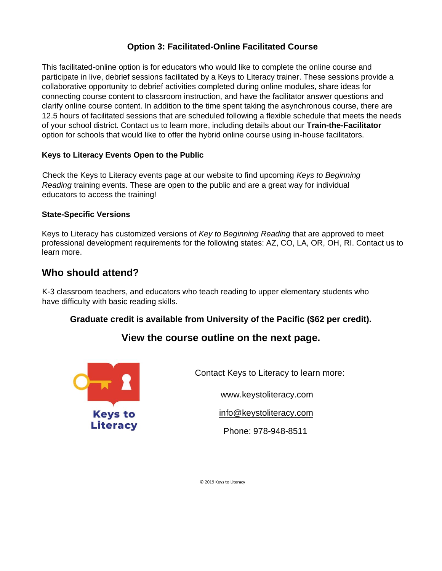## **Option 3: Facilitated-Online Facilitated Course**

This facilitated-online option is for educators who would like to complete the online course and participate in live, debrief sessions facilitated by a Keys to Literacy trainer. These sessions provide a collaborative opportunity to debrief activities completed during online modules, share ideas for connecting course content to classroom instruction, and have the facilitator answer questions and clarify online course content. In addition to the time spent taking the asynchronous course, there are 12.5 hours of facilitated sessions that are scheduled following a flexible schedule that meets the needs of your school district. Contact us to learn more, including details about our **Train-the-Facilitator** option for schools that would like to offer the hybrid online course using in-house facilitators.

### **Keys to Literacy Events Open to the Public**

Check the Keys to Literacy events page at our website to find upcoming *Keys to Beginning Reading* training events. These are open to the public and are a great way for individual educators to access the training!

#### **State-Specific Versions**

Keys to Literacy has customized versions of *Key to Beginning Reading* that are approved to meet professional development requirements for the following states: AZ, CO, LA, OR, OH, RI. Contact us to learn more.

# **Who should attend?**

K-3 classroom teachers, and educators who teach reading to upper elementary students who have difficulty with basic reading skills.

### **Graduate credit is available from University of the Pacific (\$62 per credit).**

# **View the course outline on the next page.**



Contact Keys to Literacy to learn more:

www.keystoliteracy.com

info@keystoliteracy.com

Phone: 978-948-8511

© 2019 Keys to Literacy